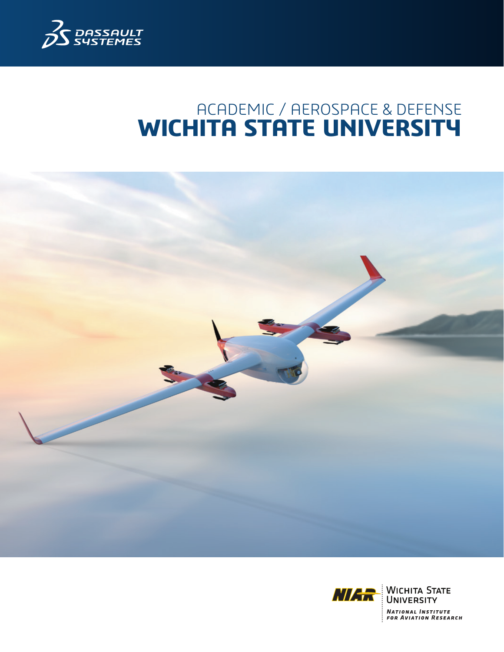

# ACADEMIC / AEROSPACE & DEFENSE **WICHITA STATE UNIVERSITY**



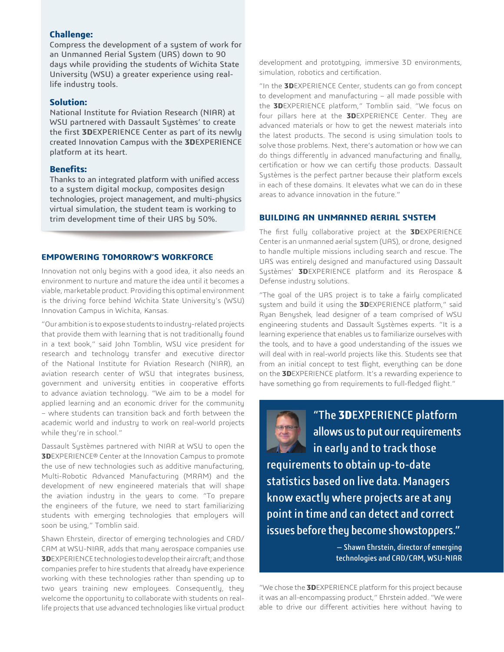#### **Challenge:**

Compress the development of a system of work for an Unmanned Aerial System (UAS) down to 90 days while providing the students of Wichita State University (WSU) a greater experience using reallife industry tools.

#### **Solution:**

National Institute for Aviation Research (NIAR) at WSU partnered with Dassault Systèmes' to create the first **3D**EXPERIENCE Center as part of its newly created Innovation Campus with the **3D**EXPERIENCE platform at its heart.

## **Benefits:**

Thanks to an integrated platform with unified access to a system digital mockup, composites design technologies, project management, and multi-physics virtual simulation, the student team is working to trim development time of their UAS by 50%.

#### **EMPOWERING TOMORROW'S WORKFORCE**

Innovation not only begins with a good idea, it also needs an environment to nurture and mature the idea until it becomes a viable, marketable product. Providing this optimal environment is the driving force behind Wichita State University's (WSU) Innovation Campus in Wichita, Kansas.

"Our ambition is to expose students to industry-related projects that provide them with learning that is not traditionally found in a text book," said John Tomblin, WSU vice president for research and technology transfer and executive director of the National Institute for Aviation Research (NIAR), an aviation research center of WSU that integrates business, government and university entities in cooperative efforts to advance aviation technology. "We aim to be a model for applied learning and an economic driver for the community – where students can transition back and forth between the academic world and industry to work on real-world projects while they're in school."

Dassault Systèmes partnered with NIAR at WSU to open the **3D**EXPERIENCE® Center at the Innovation Campus to promote the use of new technologies such as additive manufacturing, Multi-Robotic Advanced Manufacturing (MRAM) and the development of new engineered materials that will shape the aviation industry in the years to come. "To prepare the engineers of the future, we need to start familiarizing students with emerging technologies that employers will soon be using," Tomblin said.

Shawn Ehrstein, director of emerging technologies and CAD/ CAM at WSU-NIAR, adds that many aerospace companies use **3D**EXPERIENCE technologies to develop their aircraft; and those companies prefer to hire students that already have experience working with these technologies rather than spending up to two years training new employees. Consequently, they welcome the opportunity to collaborate with students on reallife projects that use advanced technologies like virtual product development and prototyping, immersive 3D environments, simulation, robotics and certification.

"In the **3D**EXPERIENCE Center, students can go from concept to development and manufacturing – all made possible with the **3D**EXPERIENCE platform," Tomblin said. "We focus on four pillars here at the **3D**EXPERIENCE Center. They are advanced materials or how to get the newest materials into the latest products. The second is using simulation tools to solve those problems. Next, there's automation or how we can do things differently in advanced manufacturing and finally, certification or how we can certify those products. Dassault Systèmes is the perfect partner because their platform excels in each of these domains. It elevates what we can do in these areas to advance innovation in the future."

## **BUILDING AN UNMANNED AERIAL SYSTEM**

The first fully collaborative project at the **3D**EXPERIENCE Center is an unmanned aerial system (UAS), or drone, designed to handle multiple missions including search and rescue. The UAS was entirely designed and manufactured using Dassault Systèmes' **3D**EXPERIENCE platform and its Aerospace & Defense industry solutions.

"The goal of the UAS project is to take a fairly complicated system and build it using the **3D**EXPERIENCE platform," said Ryan Benyshek, lead designer of a team comprised of WSU engineering students and Dassault Systèmes experts. "It is a learning experience that enables us to familiarize ourselves with the tools, and to have a good understanding of the issues we will deal with in real-world projects like this. Students see that from an initial concept to test flight, everything can be done on the **3D**EXPERIENCE platform. It's a rewarding experience to have something go from requirements to full-fledged flight."



"The **3D**EXPERIENCE platform allows us to put our requirements in early and to track those requirements to obtain up-to-date statistics based on live data. Managers

know exactly where projects are at any point in time and can detect and correct issues before they become showstoppers."

> — Shawn Ehrstein, director of emerging technologies and CAD/CAM, WSU-NIAR

"We chose the **3D**EXPERIENCE platform for this project because it was an all-encompassing product," Ehrstein added. "We were able to drive our different activities here without having to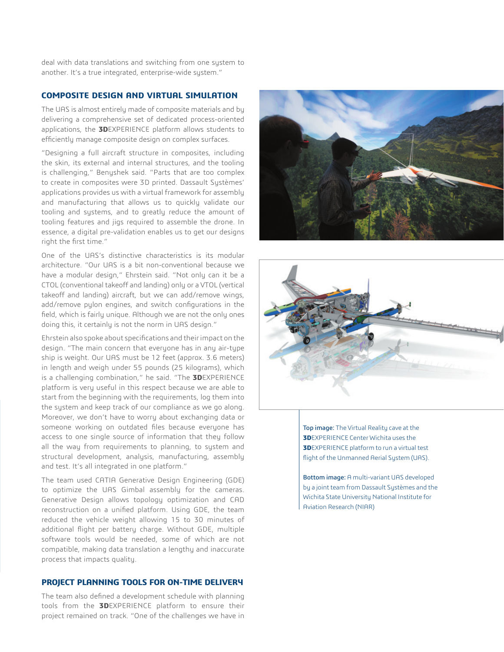deal with data translations and switching from one system to another. It's a true integrated, enterprise-wide system."

## **COMPOSITE DESIGN AND VIRTUAL SIMULATION**

The UAS is almost entirely made of composite materials and by delivering a comprehensive set of dedicated process-oriented applications, the **3D**EXPERIENCE platform allows students to efficiently manage composite design on complex surfaces.

"Designing a full aircraft structure in composites, including the skin, its external and internal structures, and the tooling is challenging," Benyshek said. "Parts that are too complex to create in composites were 3D printed. Dassault Systèmes' applications provides us with a virtual framework for assembly and manufacturing that allows us to quickly validate our tooling and systems, and to greatly reduce the amount of tooling features and jigs required to assemble the drone. In essence, a digital pre-validation enables us to get our designs right the first time."

One of the UAS's distinctive characteristics is its modular architecture. "Our UAS is a bit non-conventional because we have a modular design," Ehrstein said. "Not only can it be a CTOL (conventional takeoff and landing) only or a VTOL (vertical takeoff and landing) aircraft, but we can add/remove wings, add/remove pylon engines, and switch configurations in the field, which is fairly unique. Although we are not the only ones doing this, it certainly is not the norm in UAS design."

Ehrstein also spoke about specifications and their impact on the design. "The main concern that everyone has in any air-type ship is weight. Our UAS must be 12 feet (approx. 3.6 meters) in length and weigh under 55 pounds (25 kilograms), which is a challenging combination," he said. "The **3D**EXPERIENCE platform is very useful in this respect because we are able to start from the beginning with the requirements, log them into the system and keep track of our compliance as we go along. Moreover, we don't have to worry about exchanging data or someone working on outdated files because everyone has access to one single source of information that they follow all the way from requirements to planning, to system and structural development, analysis, manufacturing, assembly and test. It's all integrated in one platform."

The team used CATIA Generative Design Engineering (GDE) to optimize the UAS Gimbal assembly for the cameras. Generative Design allows topology optimization and CAD reconstruction on a unified platform. Using GDE, the team reduced the vehicle weight allowing 15 to 30 minutes of additional flight per battery charge. Without GDE, multiple software tools would be needed, some of which are not compatible, making data translation a lengthy and inaccurate process that impacts quality.

## **PROJECT PLANNING TOOLS FOR ON-TIME DELIVERY**

The team also defined a development schedule with planning tools from the **3D**EXPERIENCE platform to ensure their project remained on track. "One of the challenges we have in





Top image: The Virtual Reality cave at the **3D**EXPERIENCE Center Wichita uses the **3D**EXPERIENCE platform to run a virtual test flight of the Unmanned Aerial System (UAS).

Bottom image: A multi-variant UAS developed by a joint team from Dassault Systèmes and the Wichita State University National Institute for Aviation Research (NIAR)